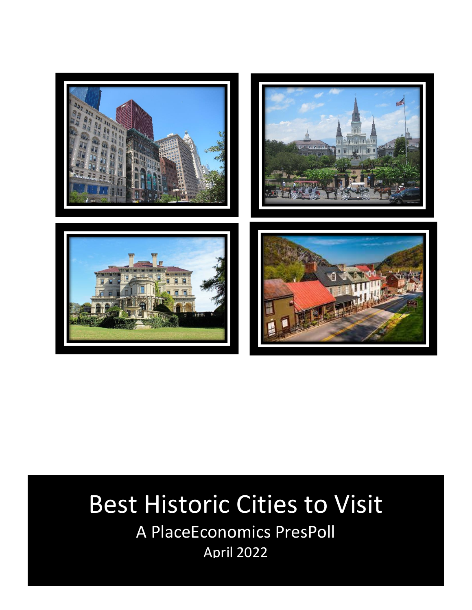

## Best Historic Cities to Visit

A PlaceEconomics PresPoll April 2022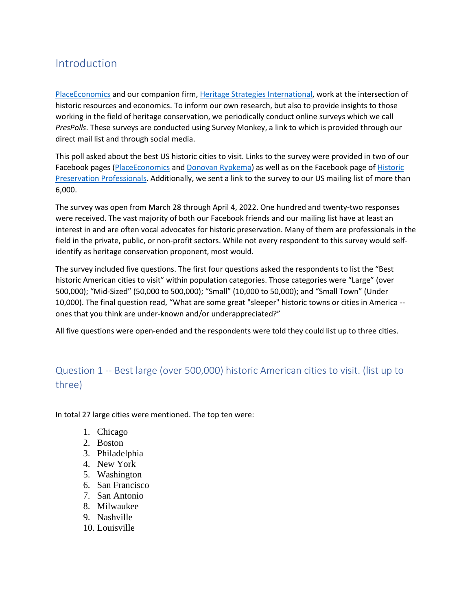## Introduction

[PlaceEconomics](https://www.placeeconomics.com/) and our companion firm[, Heritage Strategies International,](https://www.hs-intl.com/) work at the intersection of historic resources and economics. To inform our own research, but also to provide insights to those working in the field of heritage conservation, we periodically conduct online surveys which we call *PresPolls*. These surveys are conducted using Survey Monkey, a link to which is provided through our direct mail list and through social media.

This poll asked about the best US historic cities to visit. Links to the survey were provided in two of our Facebook pages [\(PlaceEconomics](https://www.facebook.com/PlaceEconomics) and [Donovan Rypkema\)](https://www.facebook.com/drypkema/) as well as on the Facebook page of Historic [Preservation Professionals.](https://www.facebook.com/groups/1517980715161179) Additionally, we sent a link to the survey to our US mailing list of more than 6,000.

The survey was open from March 28 through April 4, 2022. One hundred and twenty-two responses were received. The vast majority of both our Facebook friends and our mailing list have at least an interest in and are often vocal advocates for historic preservation. Many of them are professionals in the field in the private, public, or non-profit sectors. While not every respondent to this survey would selfidentify as heritage conservation proponent, most would.

The survey included five questions. The first four questions asked the respondents to list the "Best historic American cities to visit" within population categories. Those categories were "Large" (over 500,000); "Mid-Sized" (50,000 to 500,000); "Small" (10,000 to 50,000); and "Small Town" (Under 10,000). The final question read, "What are some great "sleeper" historic towns or cities in America - ones that you think are under-known and/or underappreciated?"

All five questions were open-ended and the respondents were told they could list up to three cities.

## Question 1 -- Best large (over 500,000) historic American cities to visit. (list up to three)

In total 27 large cities were mentioned. The top ten were:

- 1. Chicago
- 2. Boston
- 3. Philadelphia
- 4. New York
- 5. Washington
- 6. San Francisco
- 7. San Antonio
- 8. Milwaukee
- 9. Nashville
- 10. Louisville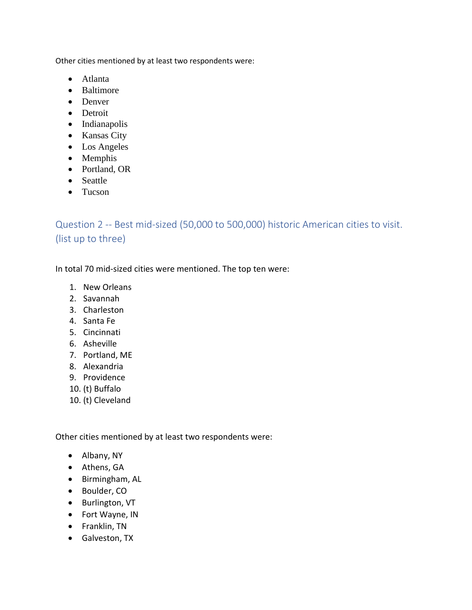Other cities mentioned by at least two respondents were:

- Atlanta
- Baltimore
- Denver
- Detroit
- Indianapolis
- Kansas City
- Los Angeles
- Memphis
- Portland, OR
- Seattle
- Tucson

Question 2 -- Best mid-sized (50,000 to 500,000) historic American cities to visit. (list up to three)

In total 70 mid-sized cities were mentioned. The top ten were:

- 1. New Orleans
- 2. Savannah
- 3. Charleston
- 4. Santa Fe
- 5. Cincinnati
- 6. Asheville
- 7. Portland, ME
- 8. Alexandria
- 9. Providence
- 10. (t) Buffalo
- 10. (t) Cleveland

Other cities mentioned by at least two respondents were:

- Albany, NY
- Athens, GA
- Birmingham, AL
- Boulder, CO
- Burlington, VT
- Fort Wayne, IN
- Franklin, TN
- Galveston, TX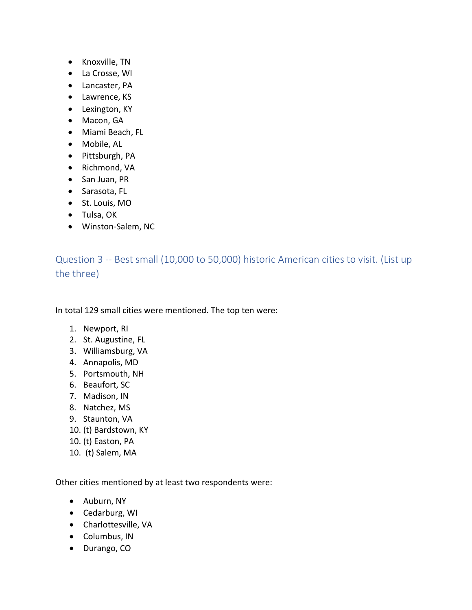- Knoxville, TN
- La Crosse, WI
- Lancaster, PA
- Lawrence, KS
- Lexington, KY
- Macon, GA
- Miami Beach, FL
- Mobile, AL
- Pittsburgh, PA
- Richmond, VA
- San Juan, PR
- Sarasota, FL
- St. Louis, MO
- Tulsa, OK
- Winston-Salem, NC

Question 3 -- Best small (10,000 to 50,000) historic American cities to visit. (List up the three)

In total 129 small cities were mentioned. The top ten were:

- 1. Newport, RI
- 2. St. Augustine, FL
- 3. Williamsburg, VA
- 4. Annapolis, MD
- 5. Portsmouth, NH
- 6. Beaufort, SC
- 7. Madison, IN
- 8. Natchez, MS
- 9. Staunton, VA
- 10. (t) Bardstown, KY
- 10. (t) Easton, PA
- 10. (t) Salem, MA

Other cities mentioned by at least two respondents were:

- Auburn, NY
- Cedarburg, WI
- Charlottesville, VA
- Columbus, IN
- Durango, CO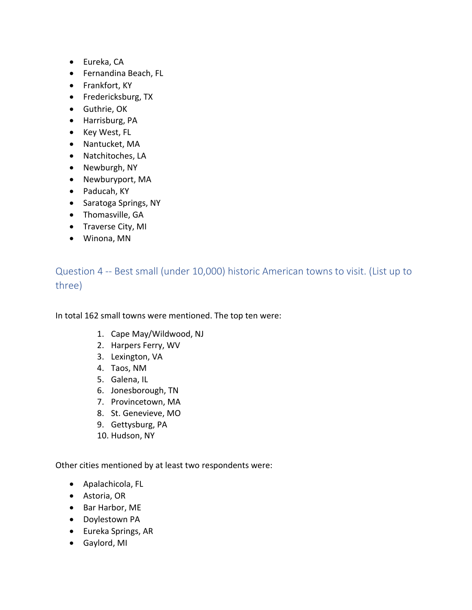- Eureka, CA
- Fernandina Beach, FL
- Frankfort, KY
- Fredericksburg, TX
- Guthrie, OK
- Harrisburg, PA
- Key West, FL
- Nantucket, MA
- Natchitoches, LA
- Newburgh, NY
- Newburyport, MA
- Paducah, KY
- Saratoga Springs, NY
- Thomasville, GA
- Traverse City, MI
- Winona, MN

Question 4 -- Best small (under 10,000) historic American towns to visit. (List up to three)

In total 162 small towns were mentioned. The top ten were:

- 1. Cape May/Wildwood, NJ
- 2. Harpers Ferry, WV
- 3. Lexington, VA
- 4. Taos, NM
- 5. Galena, IL
- 6. Jonesborough, TN
- 7. Provincetown, MA
- 8. St. Genevieve, MO
- 9. Gettysburg, PA
- 10. Hudson, NY

Other cities mentioned by at least two respondents were:

- Apalachicola, FL
- Astoria, OR
- Bar Harbor, ME
- Doylestown PA
- Eureka Springs, AR
- Gaylord, MI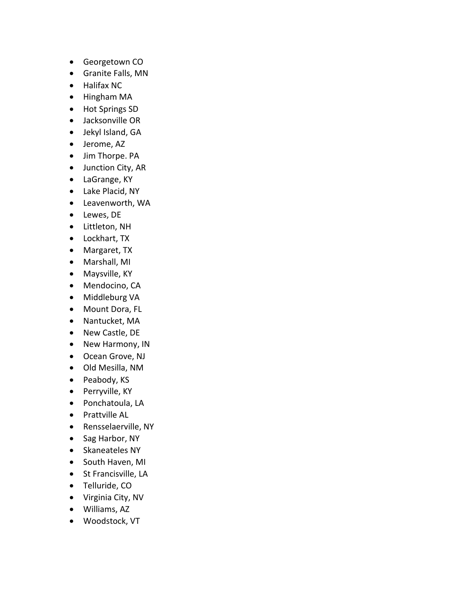- Georgetown CO
- Granite Falls, MN
- Halifax NC
- Hingham MA
- Hot Springs SD
- Jacksonville OR
- Jekyl Island, GA
- Jerome, AZ
- Jim Thorpe. PA
- Junction City, AR
- LaGrange, KY
- Lake Placid, NY
- Leavenworth, WA
- Lewes, DE
- Littleton, NH
- Lockhart, TX
- Margaret, TX
- Marshall, MI
- Maysville, KY
- Mendocino, CA
- Middleburg VA
- Mount Dora, FL
- Nantucket, MA
- New Castle, DE
- New Harmony, IN
- Ocean Grove, NJ
- Old Mesilla, NM
- Peabody, KS
- Perryville, KY
- Ponchatoula, LA
- Prattville AL
- Rensselaerville, NY
- Sag Harbor, NY
- Skaneateles NY
- South Haven, MI
- St Francisville, LA
- Telluride, CO
- Virginia City, NV
- Williams, AZ
- Woodstock, VT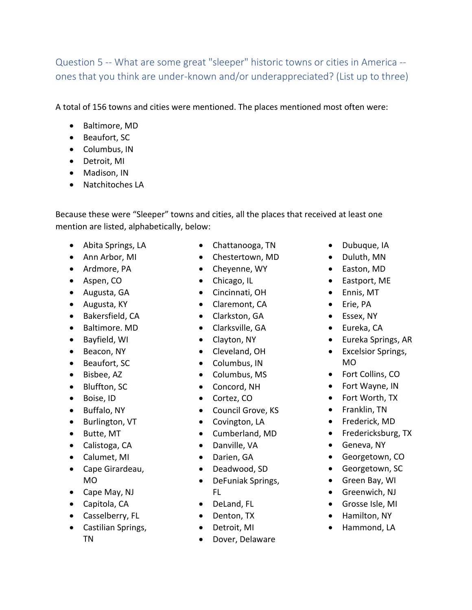Question 5 -- What are some great "sleeper" historic towns or cities in America - ones that you think are under-known and/or underappreciated? (List up to three)

A total of 156 towns and cities were mentioned. The places mentioned most often were:

- Baltimore, MD
- Beaufort, SC
- Columbus, IN
- Detroit, MI
- Madison, IN
- Natchitoches LA

Because these were "Sleeper" towns and cities, all the places that received at least one mention are listed, alphabetically, below:

- Abita Springs, LA
- Ann Arbor, MI
- Ardmore, PA
- Aspen, CO
- Augusta, GA
- Augusta, KY
- Bakersfield, CA
- Baltimore. MD
- Bayfield, WI
- Beacon, NY
- Beaufort, SC
- Bisbee, AZ
- Bluffton, SC
- Boise, ID
- Buffalo, NY
- Burlington, VT
- Butte, MT
- Calistoga, CA
- Calumet, MI
- Cape Girardeau, MO
- Cape May, NJ
- Capitola, CA
- Casselberry, FL
- Castilian Springs, TN
- Chattanooga, TN
- Chestertown, MD
- Cheyenne, WY
- Chicago, IL
- Cincinnati, OH
- Claremont, CA
- Clarkston, GA
- Clarksville, GA
- Clayton, NY
- Cleveland, OH
- Columbus, IN
- Columbus, MS
- Concord, NH
- Cortez, CO
- Council Grove, KS
- Covington, LA
- Cumberland, MD
- Danville, VA
- Darien, GA
- Deadwood, SD
- DeFuniak Springs, FL
- DeLand, FL
- Denton, TX
- Detroit, MI
- Dover, Delaware
- Dubuque, IA
- Duluth, MN
- Easton, MD
- Eastport, ME
- Ennis, MT
- Erie, PA
- Essex, NY
- Eureka, CA
- Eureka Springs, AR
- Excelsior Springs, MO
- Fort Collins, CO
- Fort Wayne, IN
- Fort Worth, TX
- Franklin, TN
- Frederick, MD
- Fredericksburg, TX
- Geneva, NY
- Georgetown, CO
- Georgetown, SC
- Green Bay, WI
- Greenwich, NJ
- Grosse Isle, MI
- Hamilton, NY
- Hammond, LA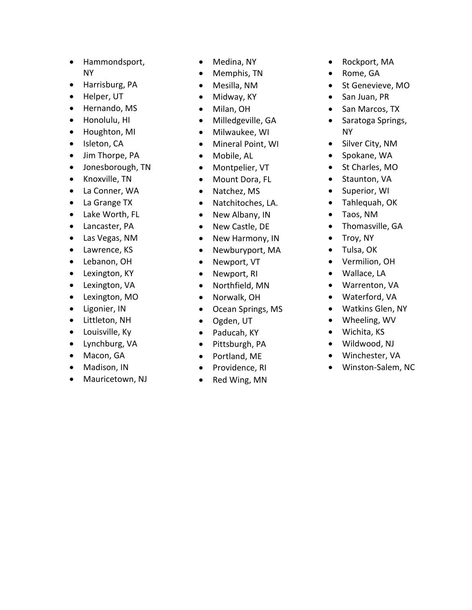- Hammondsport, NY
- Harrisburg, PA
- Helper, UT
- Hernando, MS
- Honolulu, HI
- Houghton, MI
- Isleton, CA
- Jim Thorpe, PA
- Jonesborough, TN
- Knoxville, TN
- La Conner, WA
- La Grange TX
- Lake Worth, FL
- Lancaster, PA
- Las Vegas, NM
- Lawrence, KS
- Lebanon, OH
- Lexington, KY
- Lexington, VA
- Lexington, MO
- Ligonier, IN
- Littleton, NH
- Louisville, Ky
- Lynchburg, VA
- Macon, GA
- Madison, IN
- Mauricetown, NJ
- Medina , NY
- Memphis, TN
- Mesilla, NM
- Midway, KY
- Milan, OH
- Milledgeville, GA
- Milwaukee, WI
- Mineral Point, WI
- Mobile, AL
- Montpelier, VT
- Mount Dora, FL
- Natchez, MS
- Natchitoches, LA.
- New Albany, IN
- New Castle, DE
- New Harmony, IN
- Newburyport, MA
- Newport, VT
- Newport, RI
- Northfield, MN
- Norwalk, OH
- Ocean Springs, MS
- Ogden, UT
- Paducah, KY
- Pittsburgh, PA
- Portland, ME
- Providence, RI
- Red Wing, MN
- Rockport, MA
- Rome , GA
- $\bullet$ S t Genevieve , MO
- San Juan, PR
- San Marcos, TX
- Saratoga Springs , NY
- Silver City , NM
- Spokane, WA
- St Charles, MO
- Staunton, VA
- Superior, WI
- Tahlequah, OK
- Taos, NM
- Thomasville, GA
- Troy, NY
- Tulsa, OK
- Vermilion, OH
- Wallace, LA
- Warrenton, VA
- Waterford, VA
- Watkins Glen, NY
- Wheeling, WV
- Wichita, KS
- Wildwood, NJ
- Winchester, VA
- Winston-Salem, NC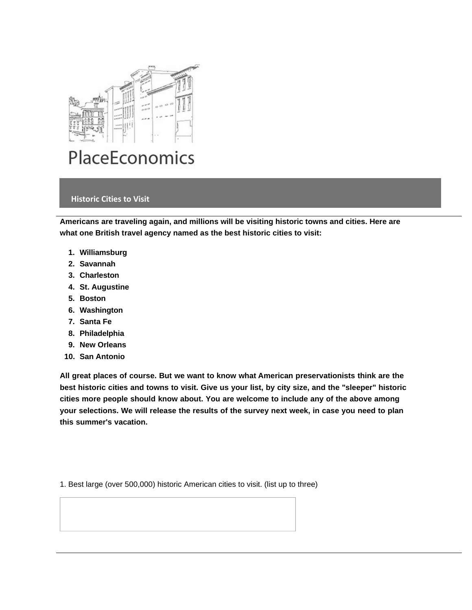

## **Historic Cities to Visit**

**Americans are traveling again, and millions will be visiting historic towns and cities. Here are what one British travel agency named as the best historic cities to visit:**

- **1. Williamsburg**
- **2. Savannah**
- **3. Charleston**
- **4. St. Augustine**
- **5. Boston**
- **6. Washington**
- **7. Santa Fe**
- **8. Philadelphia**
- **9. New Orleans**
- **10. San Antonio**

**All great places of course. But we want to know what American preservationists think are the** best historic cities and towns to visit. Give us your list, by city size, and the "sleeper" historic **cities more people should know about. You are welcome to include any of the above among your selections. We will release the results of the survey next week, in case you need to plan this summer's vacation.**

1. Best large (over 500,000) historic American cities to visit. (list up to three)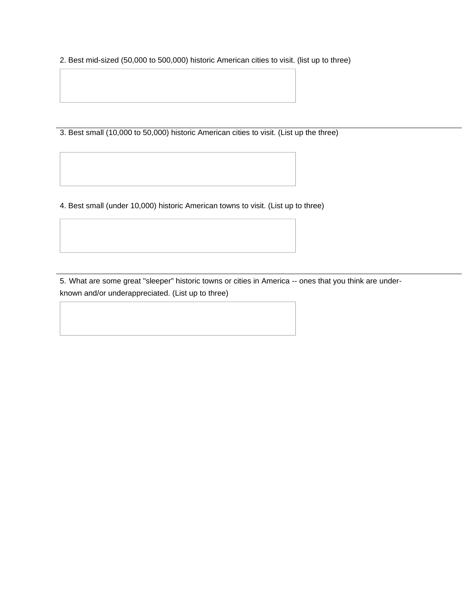2. Best mid-sized (50,000 to 500,000) historic American cities to visit. (list up to three)

3. Best small (10,000 to 50,000) historic American cities to visit. (List up the three)

4. Best small (under 10,000) historic American towns to visit. (List up to three)

5. What are some great "sleeper" historic towns or cities in America -- ones that you think are underknown and/or underappreciated. (List up to three)